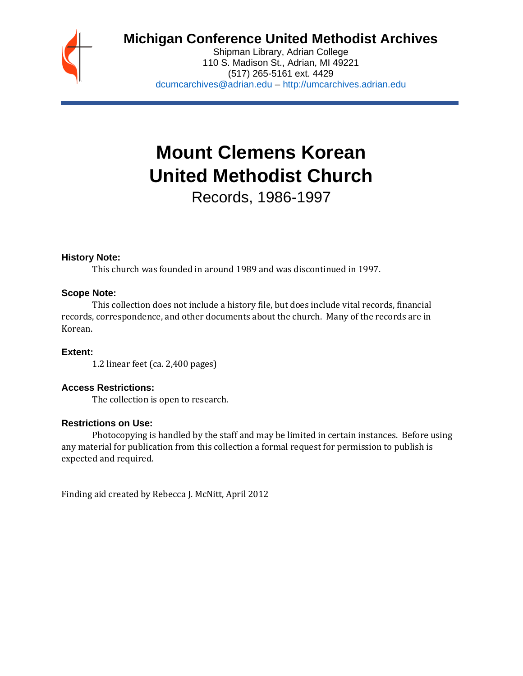

## **Michigan Conference United Methodist Archives**

Shipman Library, Adrian College 110 S. Madison St., Adrian, MI 49221 (517) 265-5161 ext. 4429 [dcumcarchives@adrian.edu](mailto:dcumcarchives@adrian.edu) – [http://umcarchives.adrian.edu](http://umcarchives.adrian.edu/)

# **Mount Clemens Korean United Methodist Church**

Records, 1986-1997

## **History Note:**

This church was founded in around 1989 and was discontinued in 1997.

## **Scope Note:**

This collection does not include a history file, but does include vital records, financial records, correspondence, and other documents about the church. Many of the records are in Korean.

## **Extent:**

1.2 linear feet (ca. 2,400 pages)

## **Access Restrictions:**

The collection is open to research.

## **Restrictions on Use:**

Photocopying is handled by the staff and may be limited in certain instances. Before using any material for publication from this collection a formal request for permission to publish is expected and required.

Finding aid created by Rebecca J. McNitt, April 2012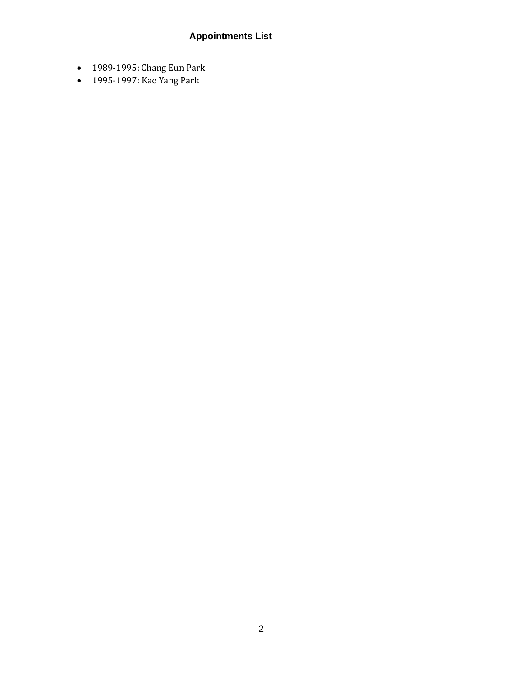## **Appointments List**

- 1989-1995: Chang Eun Park
- 1995-1997: Kae Yang Park